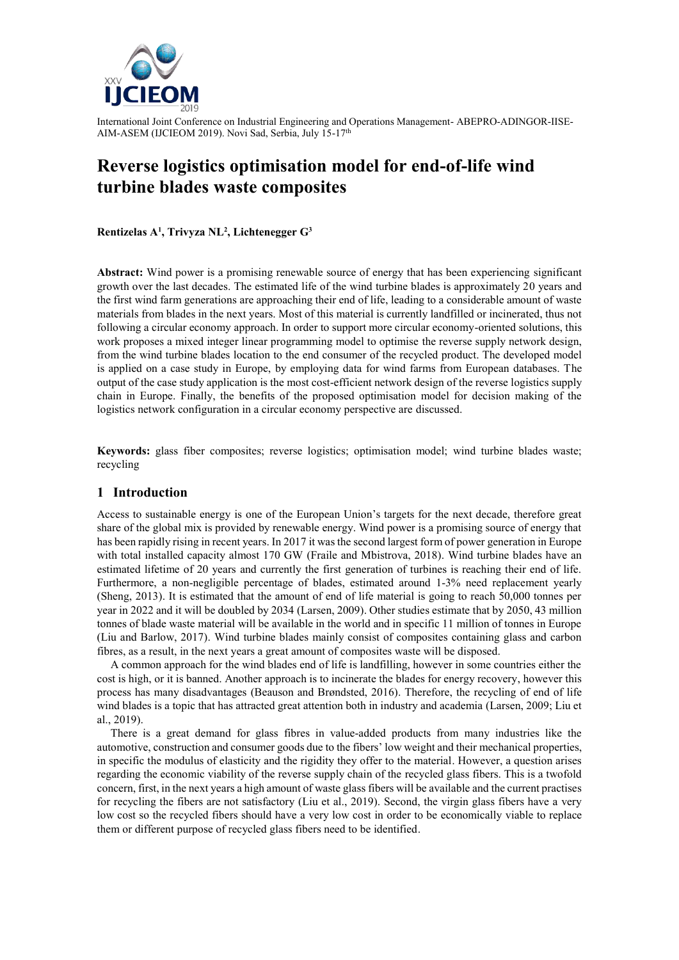

# **Reverse logistics optimisation model for end-of-life wind turbine blades waste composites**

**Rentizelas A<sup>1</sup> , Trivyza NL<sup>2</sup> , Lichtenegger G<sup>3</sup>**

**Abstract:** Wind power is a promising renewable source of energy that has been experiencing significant growth over the last decades. The estimated life of the wind turbine blades is approximately 20 years and the first wind farm generations are approaching their end of life, leading to a considerable amount of waste materials from blades in the next years. Most of this material is currently landfilled or incinerated, thus not following a circular economy approach. In order to support more circular economy-oriented solutions, this work proposes a mixed integer linear programming model to optimise the reverse supply network design, from the wind turbine blades location to the end consumer of the recycled product. The developed model is applied on a case study in Europe, by employing data for wind farms from European databases. The output of the case study application is the most cost-efficient network design of the reverse logistics supply chain in Europe. Finally, the benefits of the proposed optimisation model for decision making of the logistics network configuration in a circular economy perspective are discussed.

**Keywords:** glass fiber composites; reverse logistics; optimisation model; wind turbine blades waste; recycling

## **1 Introduction**

Access to sustainable energy is one of the European Union's targets for the next decade, therefore great share of the global mix is provided by renewable energy. Wind power is a promising source of energy that has been rapidly rising in recent years. In 2017 it was the second largest form of power generation in Europe with total installed capacity almost 170 GW (Fraile and Mbistrova, 2018). Wind turbine blades have an estimated lifetime of 20 years and currently the first generation of turbines is reaching their end of life. Furthermore, a non-negligible percentage of blades, estimated around 1-3% need replacement yearly (Sheng, 2013). It is estimated that the amount of end of life material is going to reach 50,000 tonnes per year in 2022 and it will be doubled by 2034 (Larsen, 2009). Other studies estimate that by 2050, 43 million tonnes of blade waste material will be available in the world and in specific 11 million of tonnes in Europe (Liu and Barlow, 2017). Wind turbine blades mainly consist of composites containing glass and carbon fibres, as a result, in the next years a great amount of composites waste will be disposed.

A common approach for the wind blades end of life is landfilling, however in some countries either the cost is high, or it is banned. Another approach is to incinerate the blades for energy recovery, however this process has many disadvantages (Beauson and Brøndsted, 2016). Therefore, the recycling of end of life wind blades is a topic that has attracted great attention both in industry and academia (Larsen, 2009; Liu et al., 2019).

There is a great demand for glass fibres in value-added products from many industries like the automotive, construction and consumer goods due to the fibers' low weight and their mechanical properties, in specific the modulus of elasticity and the rigidity they offer to the material. However, a question arises regarding the economic viability of the reverse supply chain of the recycled glass fibers. This is a twofold concern, first, in the next years a high amount of waste glass fibers will be available and the current practises for recycling the fibers are not satisfactory (Liu et al., 2019). Second, the virgin glass fibers have a very low cost so the recycled fibers should have a very low cost in order to be economically viable to replace them or different purpose of recycled glass fibers need to be identified.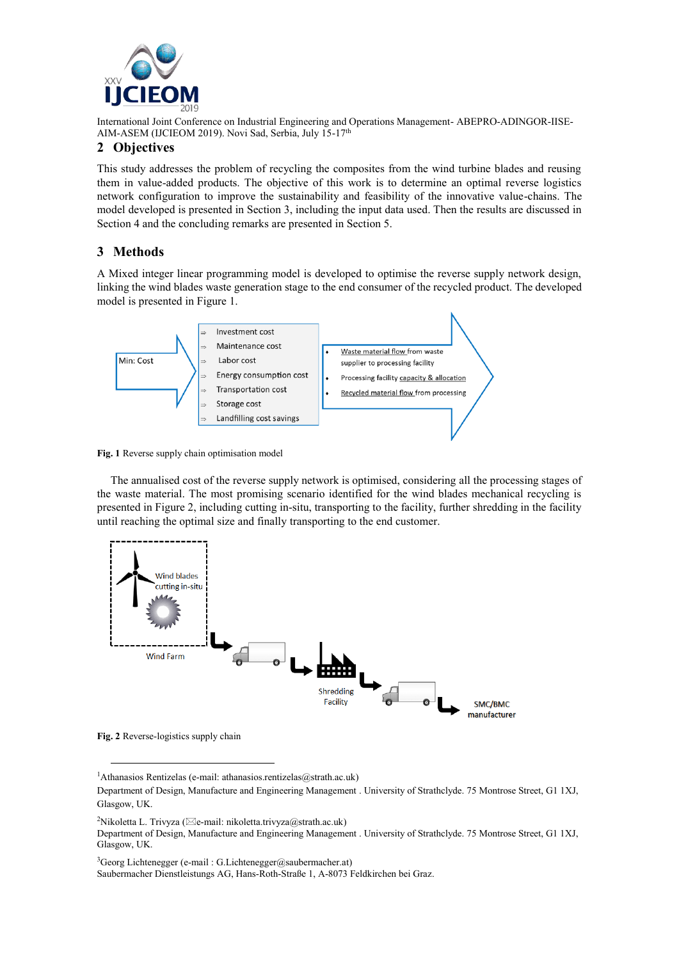

# **2 Objectives**

This study addresses the problem of recycling the composites from the wind turbine blades and reusing them in value-added products. The objective of this work is to determine an optimal reverse logistics network configuration to improve the sustainability and feasibility of the innovative value-chains. The model developed is presented in Section 3, including the input data used. Then the results are discussed in Section 4 and the concluding remarks are presented in Section 5.

# **3 Methods**

A Mixed integer linear programming model is developed to optimise the reverse supply network design, linking the wind blades waste generation stage to the end consumer of the recycled product. The developed model is presented in Figure 1.



**Fig. 1** Reverse supply chain optimisation model

The annualised cost of the reverse supply network is optimised, considering all the processing stages of the waste material. The most promising scenario identified for the wind blades mechanical recycling is presented in Figure 2, including cutting in-situ, transporting to the facility, further shredding in the facility until reaching the optimal size and finally transporting to the end customer.



**Fig. 2** Reverse-logistics supply chain

l

<sup>3</sup>Georg Lichtenegger (e-mail: G.Lichtenegger@saubermacher.at)

Saubermacher Dienstleistungs AG, Hans-Roth-Straße 1, A-8073 Feldkirchen bei Graz.

<sup>&</sup>lt;sup>1</sup>Athanasios Rentizelas (e-mail: athanasios.rentizelas@strath.ac.uk)

Department of Design, Manufacture and Engineering Management . University of Strathclyde. 75 Montrose Street, G1 1XJ, Glasgow, UK.

<sup>&</sup>lt;sup>2</sup>Nikoletta L. Trivyza ( $\boxtimes$ e-mail: nikoletta.trivyza $\textcircled{a}$ strath.ac.uk)

Department of Design, Manufacture and Engineering Management . University of Strathclyde. 75 Montrose Street, G1 1XJ, Glasgow, UK.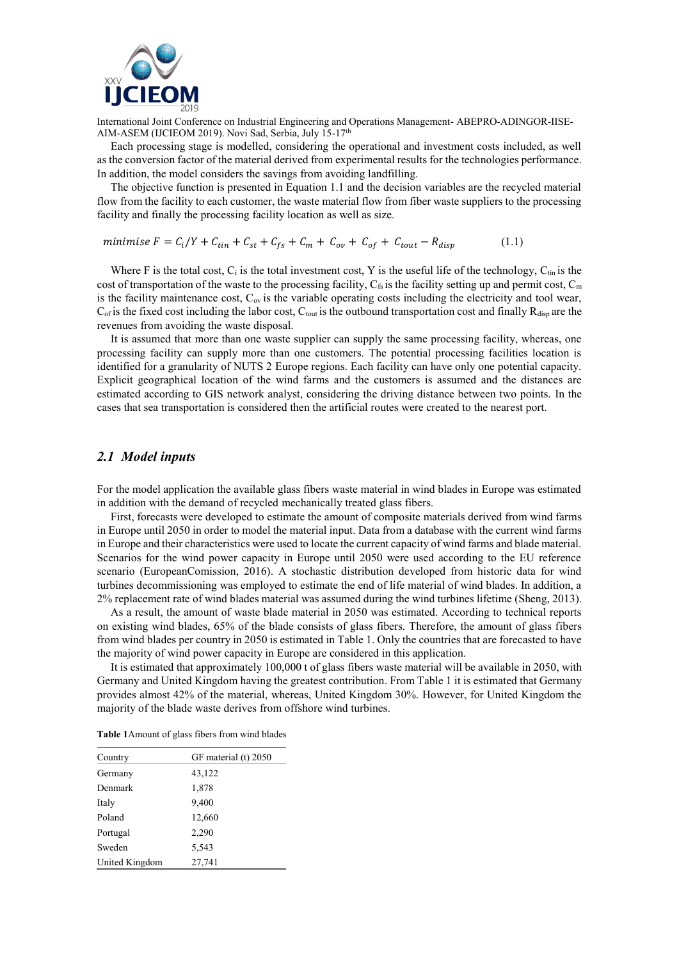

Each processing stage is modelled, considering the operational and investment costs included, as well as the conversion factor of the material derived from experimental results for the technologies performance. In addition, the model considers the savings from avoiding landfilling.

The objective function is presented in Equation 1.1 and the decision variables are the recycled material flow from the facility to each customer, the waste material flow from fiber waste suppliers to the processing facility and finally the processing facility location as well as size.

minimise 
$$
F = C_i/Y + C_{tin} + C_{st} + C_{fs} + C_m + C_{ov} + C_{of} + C_{tout} - R_{disp}
$$
 (1.1)

Where F is the total cost,  $C_i$  is the total investment cost, Y is the useful life of the technology,  $C_{tin}$  is the cost of transportation of the waste to the processing facility,  $C_{fs}$  is the facility setting up and permit cost,  $C_m$ is the facility maintenance cost,  $C_{ov}$  is the variable operating costs including the electricity and tool wear,  $C_{\text{of}}$  is the fixed cost including the labor cost,  $C_{\text{tout}}$  is the outbound transportation cost and finally  $R_{\text{disp}}$  are the revenues from avoiding the waste disposal.

It is assumed that more than one waste supplier can supply the same processing facility, whereas, one processing facility can supply more than one customers. The potential processing facilities location is identified for a granularity of NUTS 2 Europe regions. Each facility can have only one potential capacity. Explicit geographical location of the wind farms and the customers is assumed and the distances are estimated according to GIS network analyst, considering the driving distance between two points. In the cases that sea transportation is considered then the artificial routes were created to the nearest port.

#### *2.1 Model inputs*

For the model application the available glass fibers waste material in wind blades in Europe was estimated in addition with the demand of recycled mechanically treated glass fibers.

First, forecasts were developed to estimate the amount of composite materials derived from wind farms in Europe until 2050 in order to model the material input. Data from a database with the current wind farms in Europe and their characteristics were used to locate the current capacity of wind farms and blade material. Scenarios for the wind power capacity in Europe until 2050 were used according to the EU reference scenario (EuropeanComission, 2016). A stochastic distribution developed from historic data for wind turbines decommissioning was employed to estimate the end of life material of wind blades. In addition, a 2% replacement rate of wind blades material was assumed during the wind turbines lifetime (Sheng, 2013).

As a result, the amount of waste blade material in 2050 was estimated. According to technical reports on existing wind blades, 65% of the blade consists of glass fibers. Therefore, the amount of glass fibers from wind blades per country in 2050 is estimated in Table 1. Only the countries that are forecasted to have the majority of wind power capacity in Europe are considered in this application.

It is estimated that approximately 100,000 t of glass fibers waste material will be available in 2050, with Germany and United Kingdom having the greatest contribution. From Table 1 it is estimated that Germany provides almost 42% of the material, whereas, United Kingdom 30%. However, for United Kingdom the majority of the blade waste derives from offshore wind turbines.

| <b>Table 1</b> Amount of glass fibers from wind blades |  |  |  |
|--------------------------------------------------------|--|--|--|
|--------------------------------------------------------|--|--|--|

| Country        | GF material (t) 2050 |
|----------------|----------------------|
| Germany        | 43,122               |
| Denmark        | 1,878                |
| Italy          | 9,400                |
| Poland         | 12,660               |
| Portugal       | 2,290                |
| Sweden         | 5,543                |
| United Kingdom | 27,741               |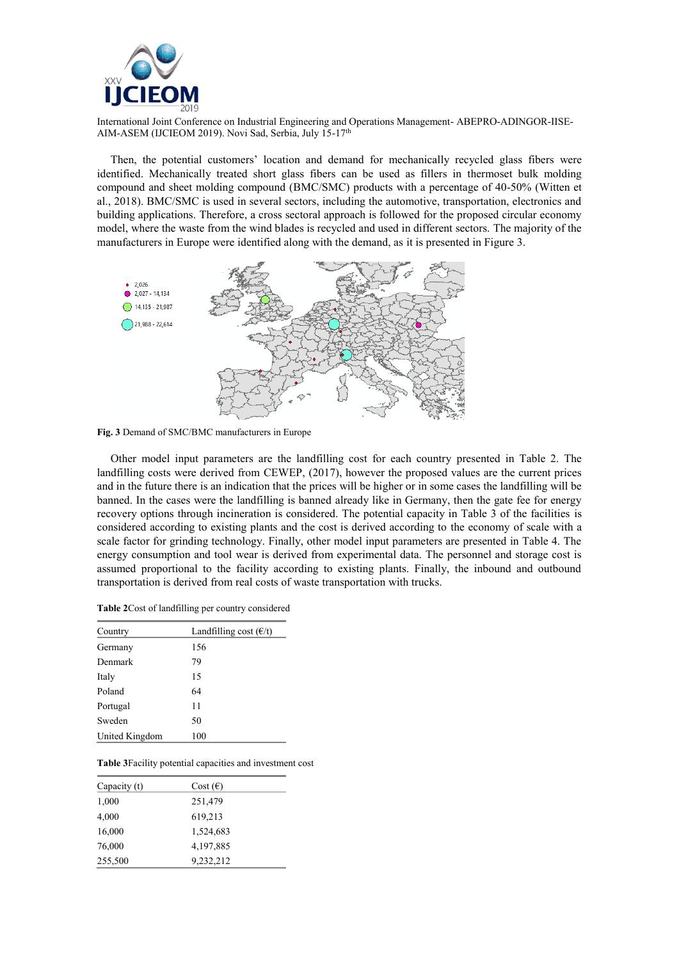

Then, the potential customers' location and demand for mechanically recycled glass fibers were identified. Mechanically treated short glass fibers can be used as fillers in thermoset bulk molding compound and sheet molding compound (BMC/SMC) products with a percentage of 40-50% (Witten et al., 2018). BMC/SMC is used in several sectors, including the automotive, transportation, electronics and building applications. Therefore, a cross sectoral approach is followed for the proposed circular economy model, where the waste from the wind blades is recycled and used in different sectors. The majority of the manufacturers in Europe were identified along with the demand, as it is presented in Figure 3.



**Fig. 3** Demand of SMC/BMC manufacturers in Europe

Other model input parameters are the landfilling cost for each country presented in Table 2. The landfilling costs were derived from CEWEP, (2017), however the proposed values are the current prices and in the future there is an indication that the prices will be higher or in some cases the landfilling will be banned. In the cases were the landfilling is banned already like in Germany, then the gate fee for energy recovery options through incineration is considered. The potential capacity in Table 3 of the facilities is considered according to existing plants and the cost is derived according to the economy of scale with a scale factor for grinding technology. Finally, other model input parameters are presented in Table 4. The energy consumption and tool wear is derived from experimental data. The personnel and storage cost is assumed proportional to the facility according to existing plants. Finally, the inbound and outbound transportation is derived from real costs of waste transportation with trucks.

| <b>Table 2</b> Cost of landfilling per country considered |  |  |
|-----------------------------------------------------------|--|--|
|-----------------------------------------------------------|--|--|

| Country        | Landfilling cost $(\epsilon/t)$ |
|----------------|---------------------------------|
| Germany        | 156                             |
| Denmark        | 79                              |
| Italy          | 15                              |
| Poland         | 64                              |
| Portugal       | 11                              |
| Sweden         | 50                              |
| United Kingdom | 100                             |

**Table 3**Facility potential capacities and investment cost

| Capacity (t) | $Cost(\epsilon)$ |  |
|--------------|------------------|--|
| 1,000        | 251,479          |  |
| 4,000        | 619,213          |  |
| 16,000       | 1,524,683        |  |
| 76,000       | 4,197,885        |  |
| 255,500      | 9,232,212        |  |
|              |                  |  |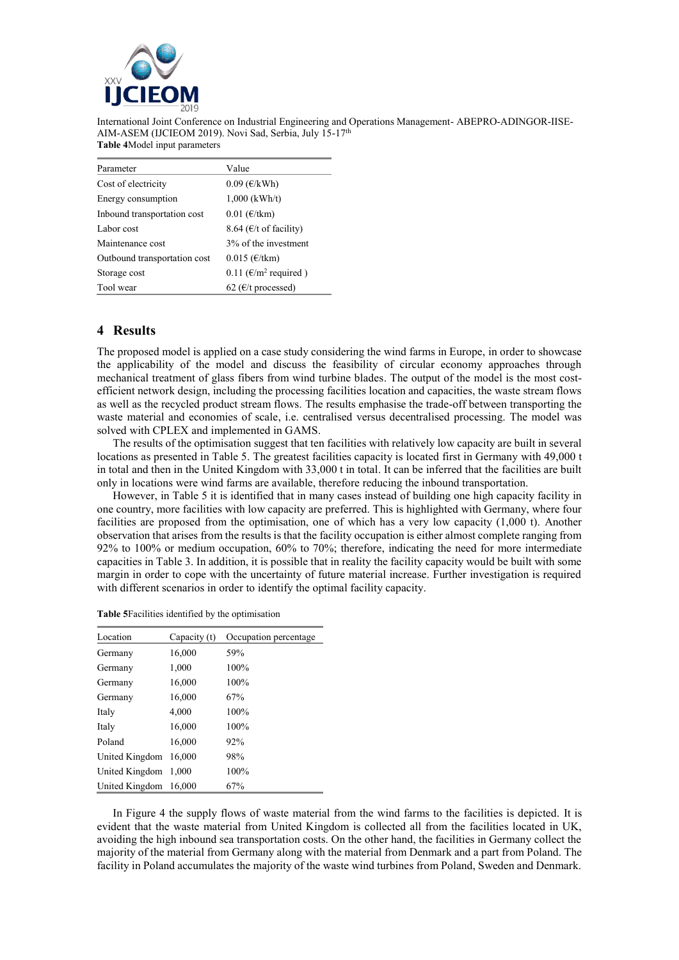

| Parameter                    | Value                             |
|------------------------------|-----------------------------------|
| Cost of electricity          | $0.09$ ( $\epsilon$ /kWh)         |
| Energy consumption           | $1,000$ (kWh/t)                   |
| Inbound transportation cost  | $0.01$ ( $\epsilon$ /tkm)         |
| Labor cost                   | 8.64 ( $\epsilon$ /t of facility) |
| Maintenance cost             | 3% of the investment              |
| Outbound transportation cost | $0.015$ ( $\epsilon$ /tkm)        |
| Storage cost                 | 0.11 ( $\epsilon/m^2$ required)   |
| Tool wear                    | 62 ( $\epsilon$ /t processed)     |

## **4 Results**

The proposed model is applied on a case study considering the wind farms in Europe, in order to showcase the applicability of the model and discuss the feasibility of circular economy approaches through mechanical treatment of glass fibers from wind turbine blades. The output of the model is the most costefficient network design, including the processing facilities location and capacities, the waste stream flows as well as the recycled product stream flows. The results emphasise the trade-off between transporting the waste material and economies of scale, i.e. centralised versus decentralised processing. The model was solved with CPLEX and implemented in GAMS.

The results of the optimisation suggest that ten facilities with relatively low capacity are built in several locations as presented in Table 5. The greatest facilities capacity is located first in Germany with 49,000 t in total and then in the United Kingdom with 33,000 t in total. It can be inferred that the facilities are built only in locations were wind farms are available, therefore reducing the inbound transportation.

However, in Table 5 it is identified that in many cases instead of building one high capacity facility in one country, more facilities with low capacity are preferred. This is highlighted with Germany, where four facilities are proposed from the optimisation, one of which has a very low capacity (1,000 t). Another observation that arises from the results is that the facility occupation is either almost complete ranging from 92% to 100% or medium occupation, 60% to 70%; therefore, indicating the need for more intermediate capacities in Table 3. In addition, it is possible that in reality the facility capacity would be built with some margin in order to cope with the uncertainty of future material increase. Further investigation is required with different scenarios in order to identify the optimal facility capacity.

| Location       | Capacity $(t)$ | Occupation percentage |
|----------------|----------------|-----------------------|
| Germany        | 16,000         | 59%                   |
| Germany        | 1,000          | 100%                  |
| Germany        | 16,000         | 100%                  |
| Germany        | 16,000         | 67%                   |
| Italy          | 4,000          | 100%                  |
| Italy          | 16,000         | 100%                  |
| Poland         | 16.000         | 92%                   |
| United Kingdom | 16,000         | 98%                   |
| United Kingdom | 1.000          | 100%                  |
| United Kingdom | 16,000         | 67%                   |

In Figure 4 the supply flows of waste material from the wind farms to the facilities is depicted. It is evident that the waste material from United Kingdom is collected all from the facilities located in UK, avoiding the high inbound sea transportation costs. On the other hand, the facilities in Germany collect the majority of the material from Germany along with the material from Denmark and a part from Poland. The facility in Poland accumulates the majority of the waste wind turbines from Poland, Sweden and Denmark.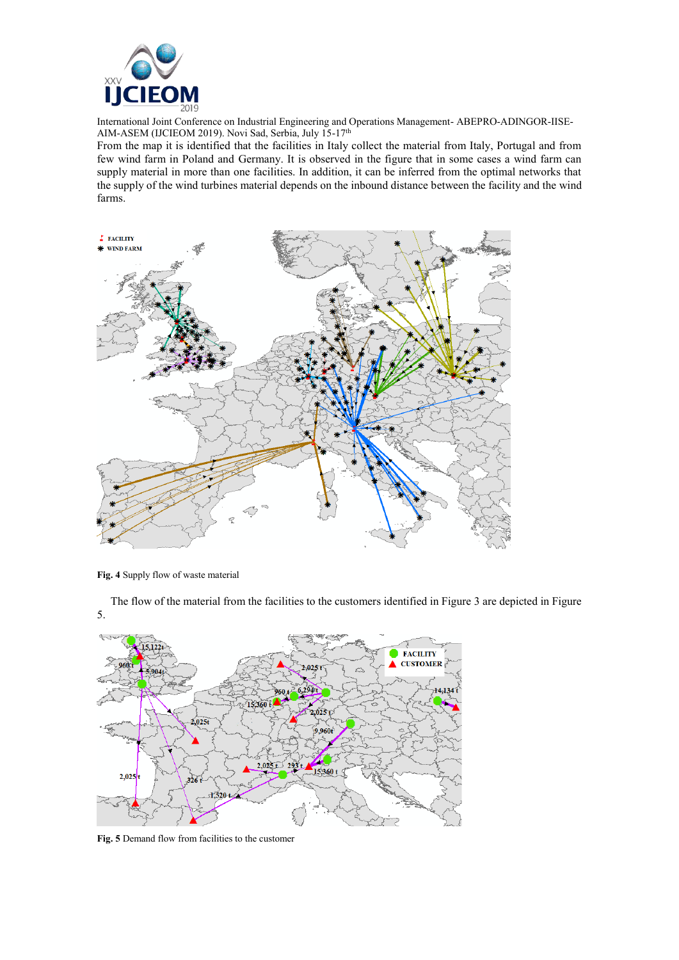

From the map it is identified that the facilities in Italy collect the material from Italy, Portugal and from few wind farm in Poland and Germany. It is observed in the figure that in some cases a wind farm can supply material in more than one facilities. In addition, it can be inferred from the optimal networks that the supply of the wind turbines material depends on the inbound distance between the facility and the wind farms.



**Fig. 4** Supply flow of waste material

The flow of the material from the facilities to the customers identified in Figure 3 are depicted in Figure 5.



**Fig. 5** Demand flow from facilities to the customer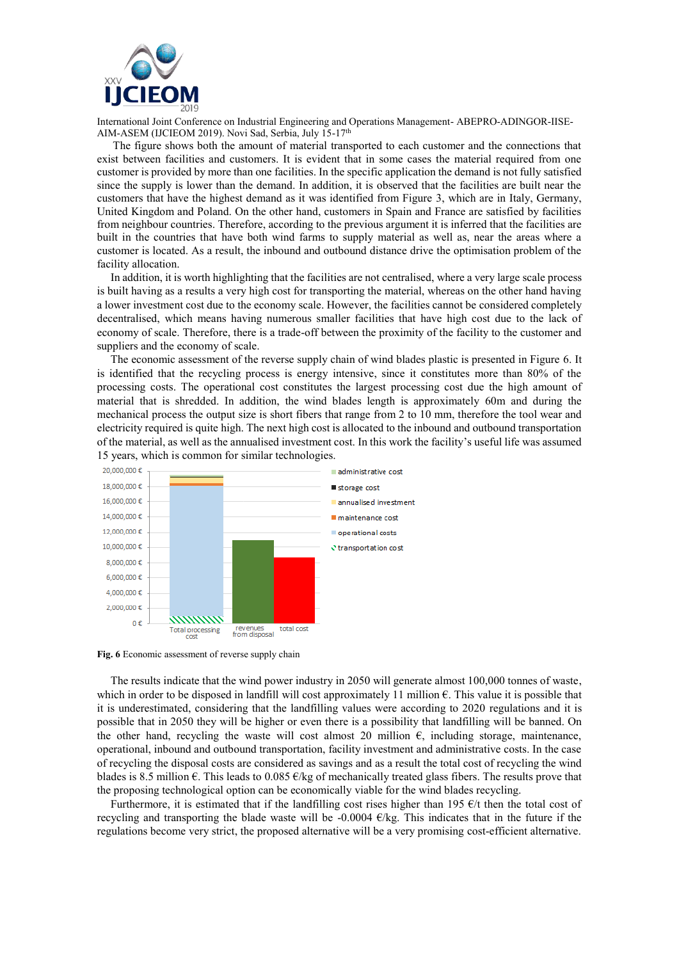

The figure shows both the amount of material transported to each customer and the connections that exist between facilities and customers. It is evident that in some cases the material required from one customer is provided by more than one facilities. In the specific application the demand is not fully satisfied since the supply is lower than the demand. In addition, it is observed that the facilities are built near the customers that have the highest demand as it was identified from Figure 3, which are in Italy, Germany, United Kingdom and Poland. On the other hand, customers in Spain and France are satisfied by facilities from neighbour countries. Therefore, according to the previous argument it is inferred that the facilities are built in the countries that have both wind farms to supply material as well as, near the areas where a customer is located. As a result, the inbound and outbound distance drive the optimisation problem of the facility allocation.

In addition, it is worth highlighting that the facilities are not centralised, where a very large scale process is built having as a results a very high cost for transporting the material, whereas on the other hand having a lower investment cost due to the economy scale. However, the facilities cannot be considered completely decentralised, which means having numerous smaller facilities that have high cost due to the lack of economy of scale. Therefore, there is a trade-off between the proximity of the facility to the customer and suppliers and the economy of scale.

The economic assessment of the reverse supply chain of wind blades plastic is presented in Figure 6. It is identified that the recycling process is energy intensive, since it constitutes more than 80% of the processing costs. The operational cost constitutes the largest processing cost due the high amount of material that is shredded. In addition, the wind blades length is approximately 60m and during the mechanical process the output size is short fibers that range from 2 to 10 mm, therefore the tool wear and electricity required is quite high. The next high cost is allocated to the inbound and outbound transportation of the material, as well as the annualised investment cost. In this work the facility's useful life was assumed 15 years, which is common for similar technologies.



**Fig. 6** Economic assessment of reverse supply chain

The results indicate that the wind power industry in 2050 will generate almost 100,000 tonnes of waste, which in order to be disposed in landfill will cost approximately 11 million €. This value it is possible that it is underestimated, considering that the landfilling values were according to 2020 regulations and it is possible that in 2050 they will be higher or even there is a possibility that landfilling will be banned. On the other hand, recycling the waste will cost almost 20 million  $\epsilon$ , including storage, maintenance, operational, inbound and outbound transportation, facility investment and administrative costs. In the case of recycling the disposal costs are considered as savings and as a result the total cost of recycling the wind blades is 8.5 million  $\epsilon$ . This leads to 0.085  $\epsilon$ /kg of mechanically treated glass fibers. The results prove that the proposing technological option can be economically viable for the wind blades recycling.

Furthermore, it is estimated that if the landfilling cost rises higher than 195  $\epsilon/t$  then the total cost of recycling and transporting the blade waste will be -0.0004  $\epsilon$ /kg. This indicates that in the future if the regulations become very strict, the proposed alternative will be a very promising cost-efficient alternative.